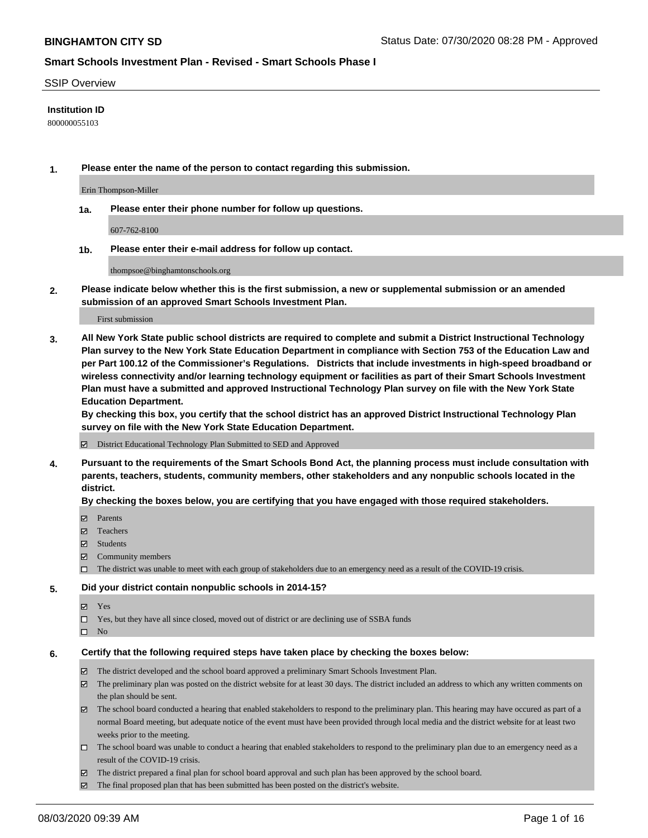#### SSIP Overview

### **Institution ID**

800000055103

**1. Please enter the name of the person to contact regarding this submission.**

Erin Thompson-Miller

**1a. Please enter their phone number for follow up questions.**

607-762-8100

**1b. Please enter their e-mail address for follow up contact.**

thompsoe@binghamtonschools.org

**2. Please indicate below whether this is the first submission, a new or supplemental submission or an amended submission of an approved Smart Schools Investment Plan.**

#### First submission

**3. All New York State public school districts are required to complete and submit a District Instructional Technology Plan survey to the New York State Education Department in compliance with Section 753 of the Education Law and per Part 100.12 of the Commissioner's Regulations. Districts that include investments in high-speed broadband or wireless connectivity and/or learning technology equipment or facilities as part of their Smart Schools Investment Plan must have a submitted and approved Instructional Technology Plan survey on file with the New York State Education Department.** 

**By checking this box, you certify that the school district has an approved District Instructional Technology Plan survey on file with the New York State Education Department.**

District Educational Technology Plan Submitted to SED and Approved

**4. Pursuant to the requirements of the Smart Schools Bond Act, the planning process must include consultation with parents, teachers, students, community members, other stakeholders and any nonpublic schools located in the district.** 

#### **By checking the boxes below, you are certifying that you have engaged with those required stakeholders.**

- **□** Parents
- Teachers
- Students
- $\boxtimes$  Community members
- The district was unable to meet with each group of stakeholders due to an emergency need as a result of the COVID-19 crisis.

#### **5. Did your district contain nonpublic schools in 2014-15?**

- **冈** Yes
- Yes, but they have all since closed, moved out of district or are declining use of SSBA funds
- $\square$  No

#### **6. Certify that the following required steps have taken place by checking the boxes below:**

- The district developed and the school board approved a preliminary Smart Schools Investment Plan.
- $\boxtimes$  The preliminary plan was posted on the district website for at least 30 days. The district included an address to which any written comments on the plan should be sent.
- The school board conducted a hearing that enabled stakeholders to respond to the preliminary plan. This hearing may have occured as part of a normal Board meeting, but adequate notice of the event must have been provided through local media and the district website for at least two weeks prior to the meeting.
- The school board was unable to conduct a hearing that enabled stakeholders to respond to the preliminary plan due to an emergency need as a result of the COVID-19 crisis.
- The district prepared a final plan for school board approval and such plan has been approved by the school board.
- $\boxtimes$  The final proposed plan that has been submitted has been posted on the district's website.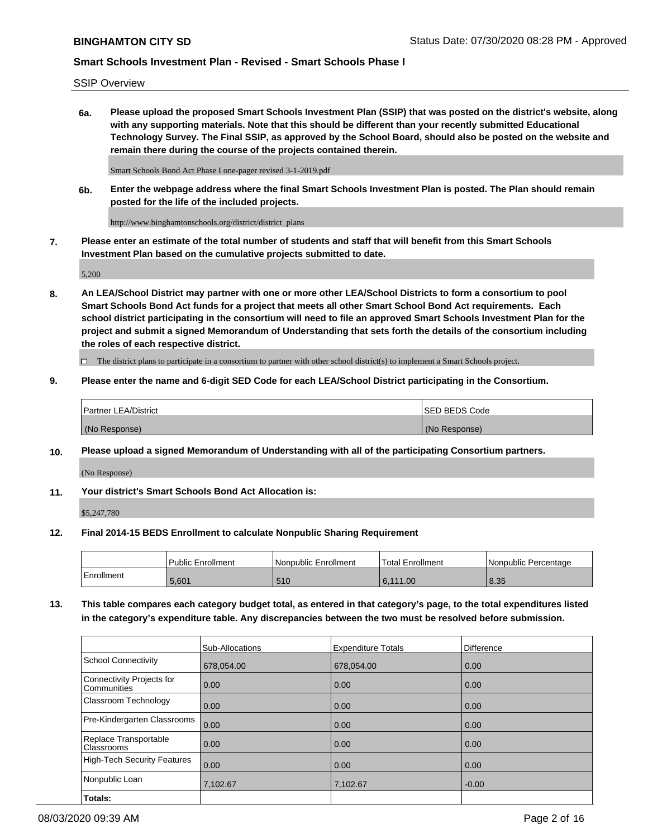SSIP Overview

**6a. Please upload the proposed Smart Schools Investment Plan (SSIP) that was posted on the district's website, along with any supporting materials. Note that this should be different than your recently submitted Educational Technology Survey. The Final SSIP, as approved by the School Board, should also be posted on the website and remain there during the course of the projects contained therein.**

Smart Schools Bond Act Phase I one-pager revised 3-1-2019.pdf

**6b. Enter the webpage address where the final Smart Schools Investment Plan is posted. The Plan should remain posted for the life of the included projects.**

http://www.binghamtonschools.org/district/district\_plans

**7. Please enter an estimate of the total number of students and staff that will benefit from this Smart Schools Investment Plan based on the cumulative projects submitted to date.**

5,200

**8. An LEA/School District may partner with one or more other LEA/School Districts to form a consortium to pool Smart Schools Bond Act funds for a project that meets all other Smart School Bond Act requirements. Each school district participating in the consortium will need to file an approved Smart Schools Investment Plan for the project and submit a signed Memorandum of Understanding that sets forth the details of the consortium including the roles of each respective district.**

 $\Box$  The district plans to participate in a consortium to partner with other school district(s) to implement a Smart Schools project.

### **9. Please enter the name and 6-digit SED Code for each LEA/School District participating in the Consortium.**

| Partner LEA/District | <b>ISED BEDS Code</b> |
|----------------------|-----------------------|
| (No Response)        | (No Response)         |

### **10. Please upload a signed Memorandum of Understanding with all of the participating Consortium partners.**

(No Response)

**11. Your district's Smart Schools Bond Act Allocation is:**

\$5,247,780

#### **12. Final 2014-15 BEDS Enrollment to calculate Nonpublic Sharing Requirement**

|            | Public Enrollment | Nonpublic Enrollment | Total Enrollment | l Nonpublic Percentage |
|------------|-------------------|----------------------|------------------|------------------------|
| Enrollment | 5.601             | 510                  | 6,111.00         | 8.35                   |

**13. This table compares each category budget total, as entered in that category's page, to the total expenditures listed in the category's expenditure table. Any discrepancies between the two must be resolved before submission.**

|                                          | Sub-Allocations | <b>Expenditure Totals</b> | <b>Difference</b> |
|------------------------------------------|-----------------|---------------------------|-------------------|
| <b>School Connectivity</b>               | 678,054.00      | 678,054.00                | 0.00              |
| Connectivity Projects for<br>Communities | 0.00            | 0.00                      | 0.00              |
| Classroom Technology                     | 0.00            | 0.00                      | 0.00              |
| Pre-Kindergarten Classrooms              | 0.00            | 0.00                      | 0.00              |
| Replace Transportable<br>Classrooms      | 0.00            | 0.00                      | 0.00              |
| <b>High-Tech Security Features</b>       | 0.00            | 0.00                      | 0.00              |
| Nonpublic Loan                           | 7,102.67        | 7,102.67                  | $-0.00$           |
| Totals:                                  |                 |                           |                   |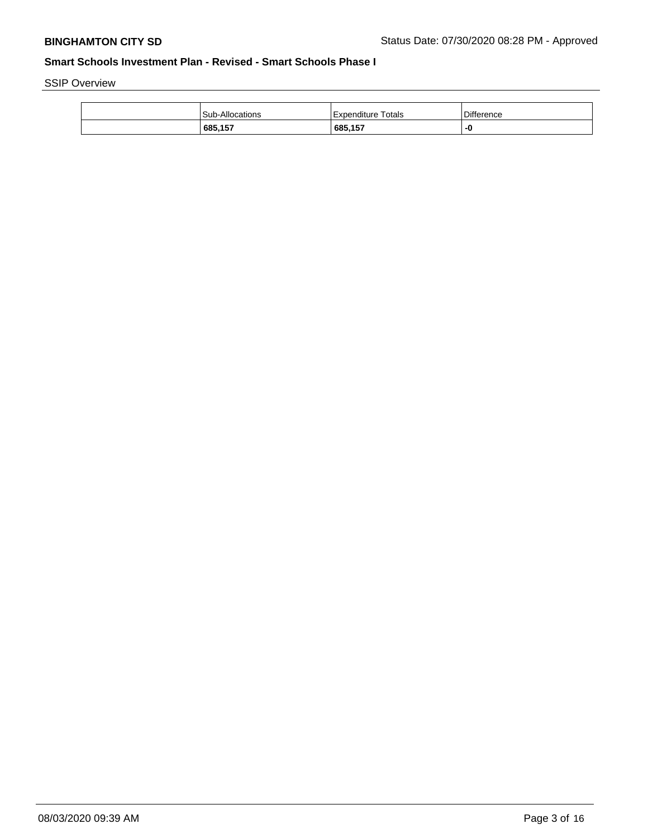SSIP Overview

| Sub-Allocations | Totals<br>Expenditure | <b>Difference</b> |
|-----------------|-----------------------|-------------------|
| 685,157         | ,685,157              | -0                |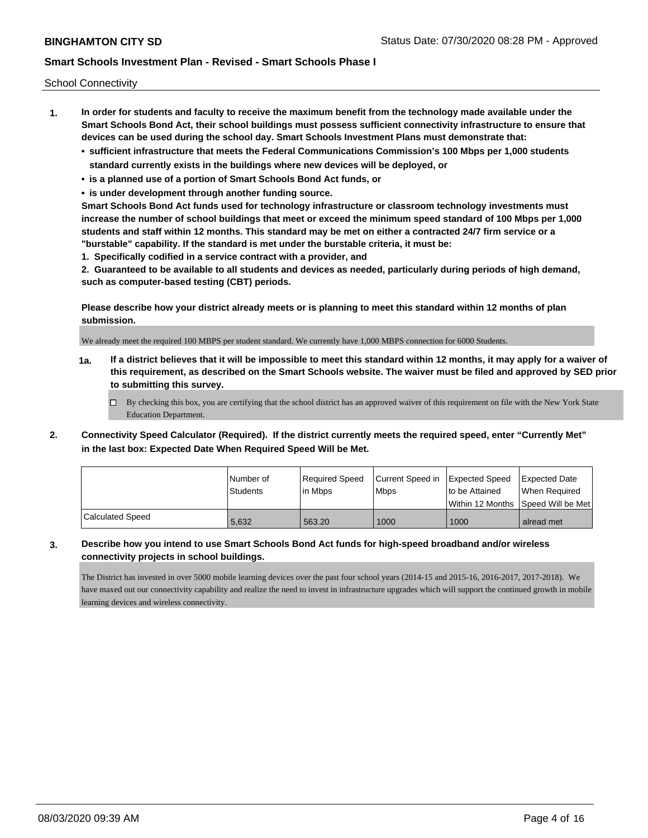School Connectivity

- **1. In order for students and faculty to receive the maximum benefit from the technology made available under the Smart Schools Bond Act, their school buildings must possess sufficient connectivity infrastructure to ensure that devices can be used during the school day. Smart Schools Investment Plans must demonstrate that:**
	- **• sufficient infrastructure that meets the Federal Communications Commission's 100 Mbps per 1,000 students standard currently exists in the buildings where new devices will be deployed, or**
	- **• is a planned use of a portion of Smart Schools Bond Act funds, or**
	- **• is under development through another funding source.**

**Smart Schools Bond Act funds used for technology infrastructure or classroom technology investments must increase the number of school buildings that meet or exceed the minimum speed standard of 100 Mbps per 1,000 students and staff within 12 months. This standard may be met on either a contracted 24/7 firm service or a "burstable" capability. If the standard is met under the burstable criteria, it must be:**

**1. Specifically codified in a service contract with a provider, and**

**2. Guaranteed to be available to all students and devices as needed, particularly during periods of high demand, such as computer-based testing (CBT) periods.**

**Please describe how your district already meets or is planning to meet this standard within 12 months of plan submission.**

We already meet the required 100 MBPS per student standard. We currently have 1,000 MBPS connection for 6000 Students.

**1a. If a district believes that it will be impossible to meet this standard within 12 months, it may apply for a waiver of this requirement, as described on the Smart Schools website. The waiver must be filed and approved by SED prior to submitting this survey.**

 $\Box$  By checking this box, you are certifying that the school district has an approved waiver of this requirement on file with the New York State Education Department.

**2. Connectivity Speed Calculator (Required). If the district currently meets the required speed, enter "Currently Met" in the last box: Expected Date When Required Speed Will be Met.**

|                  | l Number of | Required Speed | Current Speed in Expected Speed |                | <b>Expected Date</b>                |
|------------------|-------------|----------------|---------------------------------|----------------|-------------------------------------|
|                  | Students    | lin Mbps       | <b>Mbps</b>                     | to be Attained | When Reauired                       |
|                  |             |                |                                 |                | Within 12 Months 1Speed Will be Met |
| Calculated Speed | 5.632       | 563.20         | 1000                            | 1000           | alread met                          |

### **3. Describe how you intend to use Smart Schools Bond Act funds for high-speed broadband and/or wireless connectivity projects in school buildings.**

The District has invested in over 5000 mobile learning devices over the past four school years (2014-15 and 2015-16, 2016-2017, 2017-2018). We have maxed out our connectivity capability and realize the need to invest in infrastructure upgrades which will support the continued growth in mobile learning devices and wireless connectivity.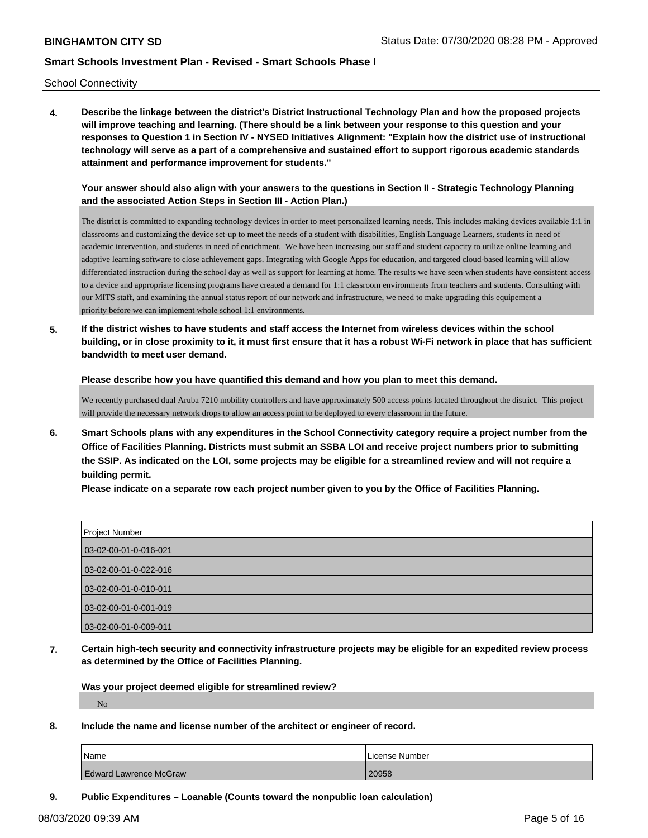School Connectivity

**4. Describe the linkage between the district's District Instructional Technology Plan and how the proposed projects will improve teaching and learning. (There should be a link between your response to this question and your responses to Question 1 in Section IV - NYSED Initiatives Alignment: "Explain how the district use of instructional technology will serve as a part of a comprehensive and sustained effort to support rigorous academic standards attainment and performance improvement for students."** 

**Your answer should also align with your answers to the questions in Section II - Strategic Technology Planning and the associated Action Steps in Section III - Action Plan.)**

The district is committed to expanding technology devices in order to meet personalized learning needs. This includes making devices available 1:1 in classrooms and customizing the device set-up to meet the needs of a student with disabilities, English Language Learners, students in need of academic intervention, and students in need of enrichment. We have been increasing our staff and student capacity to utilize online learning and adaptive learning software to close achievement gaps. Integrating with Google Apps for education, and targeted cloud-based learning will allow differentiated instruction during the school day as well as support for learning at home. The results we have seen when students have consistent access to a device and appropriate licensing programs have created a demand for 1:1 classroom environments from teachers and students. Consulting with our MITS staff, and examining the annual status report of our network and infrastructure, we need to make upgrading this equipement a priority before we can implement whole school 1:1 environments.

**5. If the district wishes to have students and staff access the Internet from wireless devices within the school building, or in close proximity to it, it must first ensure that it has a robust Wi-Fi network in place that has sufficient bandwidth to meet user demand.**

**Please describe how you have quantified this demand and how you plan to meet this demand.**

We recently purchased dual Aruba 7210 mobility controllers and have approximately 500 access points located throughout the district. This project will provide the necessary network drops to allow an access point to be deployed to every classroom in the future.

**6. Smart Schools plans with any expenditures in the School Connectivity category require a project number from the Office of Facilities Planning. Districts must submit an SSBA LOI and receive project numbers prior to submitting the SSIP. As indicated on the LOI, some projects may be eligible for a streamlined review and will not require a building permit.**

**Please indicate on a separate row each project number given to you by the Office of Facilities Planning.**

| <b>Project Number</b> |
|-----------------------|
| 03-02-00-01-0-016-021 |
| 03-02-00-01-0-022-016 |
| 03-02-00-01-0-010-011 |
| 03-02-00-01-0-001-019 |
| 03-02-00-01-0-009-011 |

**7. Certain high-tech security and connectivity infrastructure projects may be eligible for an expedited review process as determined by the Office of Facilities Planning.**

**Was your project deemed eligible for streamlined review?** No

**8. Include the name and license number of the architect or engineer of record.**

| Name                          | License Number |
|-------------------------------|----------------|
| <b>Edward Lawrence McGraw</b> | 20958          |

**9. Public Expenditures – Loanable (Counts toward the nonpublic loan calculation)**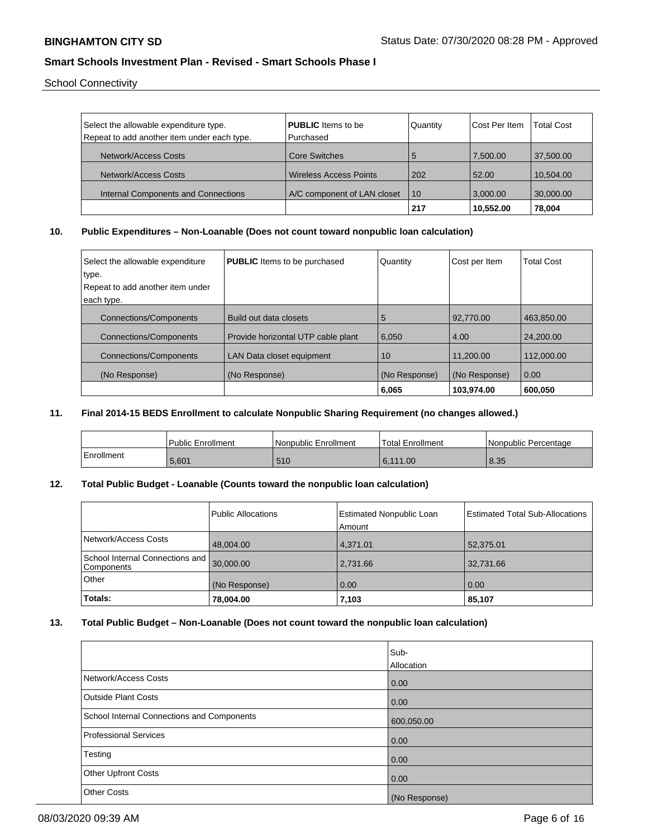School Connectivity

| Select the allowable expenditure type.      | <b>PUBLIC</b> Items to be     | <b>Quantity</b> | Cost Per Item | <b>Total Cost</b> |
|---------------------------------------------|-------------------------------|-----------------|---------------|-------------------|
| Repeat to add another item under each type. | Purchased                     |                 |               |                   |
|                                             |                               |                 |               |                   |
| Network/Access Costs                        | Core Switches                 | 5               | 7,500.00      | 37,500.00         |
| Network/Access Costs                        | <b>Wireless Access Points</b> | 202             | 52.00         | 10.504.00         |
|                                             |                               |                 |               |                   |
| Internal Components and Connections         | A/C component of LAN closet   | 10              | 3.000.00      | 30,000.00         |
|                                             |                               | 217             | 10,552.00     | 78,004            |

### **10. Public Expenditures – Non-Loanable (Does not count toward nonpublic loan calculation)**

| Select the allowable expenditure<br>type. | <b>PUBLIC</b> Items to be purchased | Quantity      | Cost per Item | Total Cost |
|-------------------------------------------|-------------------------------------|---------------|---------------|------------|
| Repeat to add another item under          |                                     |               |               |            |
| each type.                                |                                     |               |               |            |
| <b>Connections/Components</b>             | Build out data closets              | 5             | 92.770.00     | 463.850.00 |
| <b>Connections/Components</b>             | Provide horizontal UTP cable plant  | 6,050         | 4.00          | 24,200.00  |
| <b>Connections/Components</b>             | LAN Data closet equipment           | 10            | 11.200.00     | 112.000.00 |
| (No Response)                             | (No Response)                       | (No Response) | (No Response) | 0.00       |
|                                           |                                     | 6.065         | 103.974.00    | 600.050    |

## **11. Final 2014-15 BEDS Enrollment to calculate Nonpublic Sharing Requirement (no changes allowed.)**

|            | l Public Enrollment | Nonpublic Enrollment | Total Enrollment | l Nonpublic Percentage |
|------------|---------------------|----------------------|------------------|------------------------|
| Enrollment | 5,601               | 510                  | 6.111.00         | 8.35                   |

## **12. Total Public Budget - Loanable (Counts toward the nonpublic loan calculation)**

|                                               | Public Allocations | <b>Estimated Nonpublic Loan</b><br>Amount | <b>Estimated Total Sub-Allocations</b> |
|-----------------------------------------------|--------------------|-------------------------------------------|----------------------------------------|
| Network/Access Costs                          | 48,004.00          | 4,371.01                                  | 52,375.01                              |
| School Internal Connections and<br>Components | 30,000.00          | 2,731.66                                  | 32,731.66                              |
| Other                                         | (No Response)      | 0.00                                      | 0.00                                   |
| Totals:                                       | 78,004.00          | 7,103                                     | 85,107                                 |

## **13. Total Public Budget – Non-Loanable (Does not count toward the nonpublic loan calculation)**

|                                            | lSub-         |
|--------------------------------------------|---------------|
|                                            | Allocation    |
| Network/Access Costs                       | 0.00          |
| <b>Outside Plant Costs</b>                 | 0.00          |
| School Internal Connections and Components | 600,050.00    |
| <b>Professional Services</b>               | 0.00          |
| Testing                                    | 0.00          |
| Other Upfront Costs                        | 0.00          |
| <b>Other Costs</b>                         | (No Response) |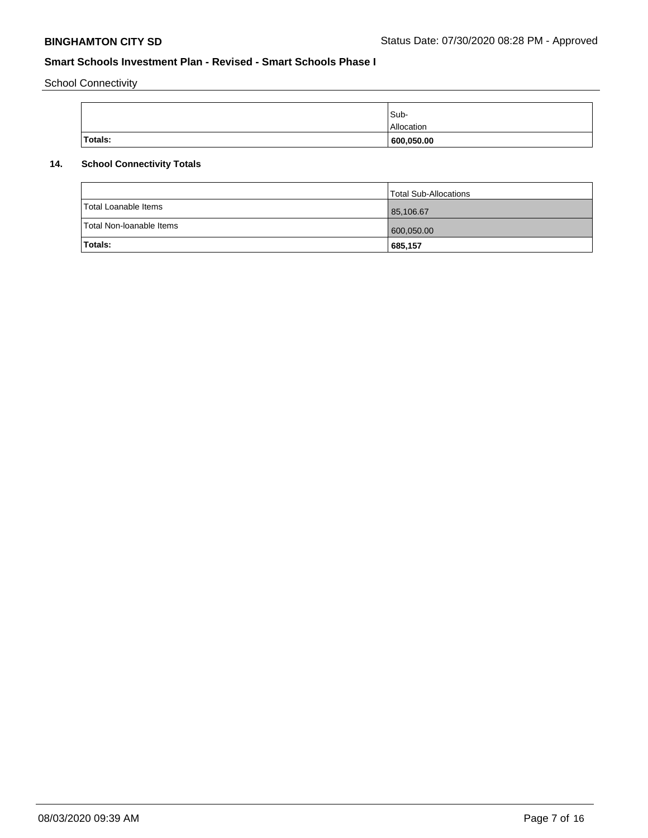School Connectivity

|         | Sub-              |
|---------|-------------------|
|         | <b>Allocation</b> |
| Totals: | 600,050.00        |

# **14. School Connectivity Totals**

| Totals:                  | 685,157               |
|--------------------------|-----------------------|
| Total Non-Ioanable Items | 600,050.00            |
| Total Loanable Items     | 85,106.67             |
|                          | Total Sub-Allocations |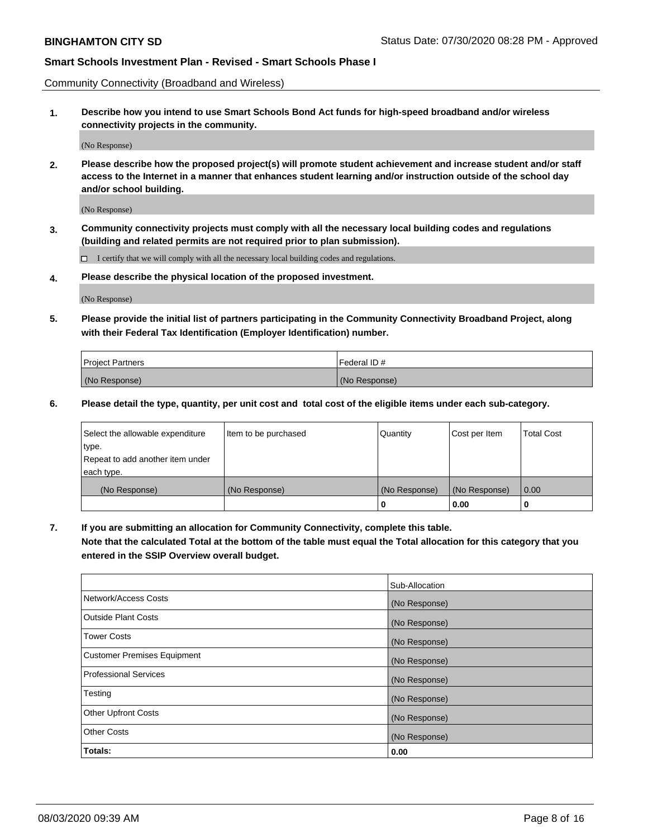Community Connectivity (Broadband and Wireless)

**1. Describe how you intend to use Smart Schools Bond Act funds for high-speed broadband and/or wireless connectivity projects in the community.**

(No Response)

**2. Please describe how the proposed project(s) will promote student achievement and increase student and/or staff access to the Internet in a manner that enhances student learning and/or instruction outside of the school day and/or school building.**

(No Response)

**3. Community connectivity projects must comply with all the necessary local building codes and regulations (building and related permits are not required prior to plan submission).**

 $\Box$  I certify that we will comply with all the necessary local building codes and regulations.

**4. Please describe the physical location of the proposed investment.**

(No Response)

**5. Please provide the initial list of partners participating in the Community Connectivity Broadband Project, along with their Federal Tax Identification (Employer Identification) number.**

| <b>Project Partners</b> | l Federal ID # |
|-------------------------|----------------|
| (No Response)           | (No Response)  |

**6. Please detail the type, quantity, per unit cost and total cost of the eligible items under each sub-category.**

| Select the allowable expenditure | Item to be purchased | Quantity      | Cost per Item | <b>Total Cost</b> |
|----------------------------------|----------------------|---------------|---------------|-------------------|
| type.                            |                      |               |               |                   |
| Repeat to add another item under |                      |               |               |                   |
| each type.                       |                      |               |               |                   |
| (No Response)                    | (No Response)        | (No Response) | (No Response) | 0.00              |
|                                  |                      | o             | 0.00          |                   |

**7. If you are submitting an allocation for Community Connectivity, complete this table.**

**Note that the calculated Total at the bottom of the table must equal the Total allocation for this category that you entered in the SSIP Overview overall budget.**

|                                    | Sub-Allocation |
|------------------------------------|----------------|
| Network/Access Costs               | (No Response)  |
| Outside Plant Costs                | (No Response)  |
| <b>Tower Costs</b>                 | (No Response)  |
| <b>Customer Premises Equipment</b> | (No Response)  |
| <b>Professional Services</b>       | (No Response)  |
| Testing                            | (No Response)  |
| <b>Other Upfront Costs</b>         | (No Response)  |
| <b>Other Costs</b>                 | (No Response)  |
| Totals:                            | 0.00           |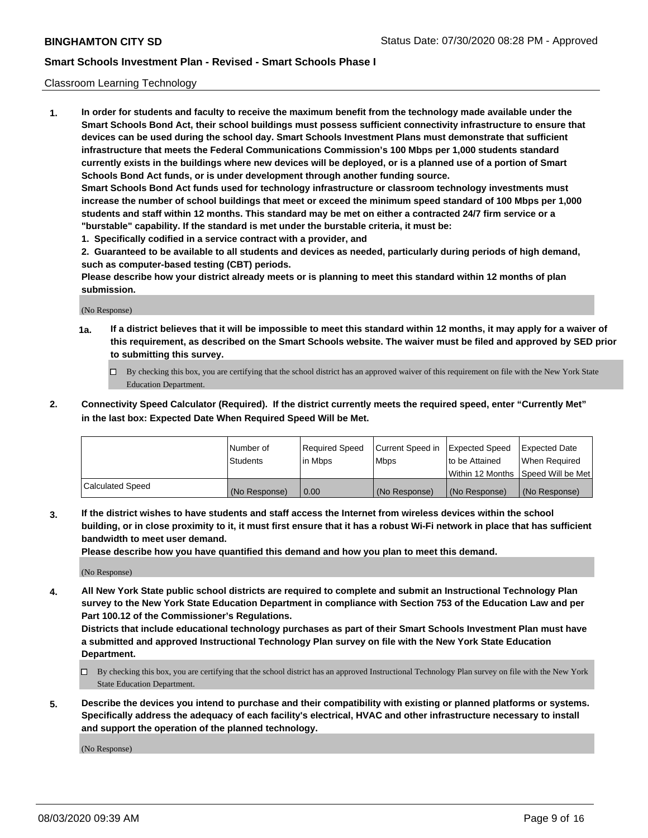### Classroom Learning Technology

**1. In order for students and faculty to receive the maximum benefit from the technology made available under the Smart Schools Bond Act, their school buildings must possess sufficient connectivity infrastructure to ensure that devices can be used during the school day. Smart Schools Investment Plans must demonstrate that sufficient infrastructure that meets the Federal Communications Commission's 100 Mbps per 1,000 students standard currently exists in the buildings where new devices will be deployed, or is a planned use of a portion of Smart Schools Bond Act funds, or is under development through another funding source. Smart Schools Bond Act funds used for technology infrastructure or classroom technology investments must increase the number of school buildings that meet or exceed the minimum speed standard of 100 Mbps per 1,000 students and staff within 12 months. This standard may be met on either a contracted 24/7 firm service or a "burstable" capability. If the standard is met under the burstable criteria, it must be:**

**1. Specifically codified in a service contract with a provider, and**

**2. Guaranteed to be available to all students and devices as needed, particularly during periods of high demand, such as computer-based testing (CBT) periods.**

**Please describe how your district already meets or is planning to meet this standard within 12 months of plan submission.**

(No Response)

- **1a. If a district believes that it will be impossible to meet this standard within 12 months, it may apply for a waiver of this requirement, as described on the Smart Schools website. The waiver must be filed and approved by SED prior to submitting this survey.**
	- By checking this box, you are certifying that the school district has an approved waiver of this requirement on file with the New York State Education Department.
- **2. Connectivity Speed Calculator (Required). If the district currently meets the required speed, enter "Currently Met" in the last box: Expected Date When Required Speed Will be Met.**

|                  | l Number of     | Required Speed | Current Speed in | <b>Expected Speed</b> | <b>Expected Date</b>                |
|------------------|-----------------|----------------|------------------|-----------------------|-------------------------------------|
|                  | <b>Students</b> | l in Mbps      | l Mbps           | to be Attained        | When Required                       |
|                  |                 |                |                  |                       | Within 12 Months  Speed Will be Met |
| Calculated Speed | (No Response)   | 0.00           | (No Response)    | l (No Response)       | (No Response)                       |

**3. If the district wishes to have students and staff access the Internet from wireless devices within the school building, or in close proximity to it, it must first ensure that it has a robust Wi-Fi network in place that has sufficient bandwidth to meet user demand.**

**Please describe how you have quantified this demand and how you plan to meet this demand.**

(No Response)

**4. All New York State public school districts are required to complete and submit an Instructional Technology Plan survey to the New York State Education Department in compliance with Section 753 of the Education Law and per Part 100.12 of the Commissioner's Regulations.**

**Districts that include educational technology purchases as part of their Smart Schools Investment Plan must have a submitted and approved Instructional Technology Plan survey on file with the New York State Education Department.**

- By checking this box, you are certifying that the school district has an approved Instructional Technology Plan survey on file with the New York State Education Department.
- **5. Describe the devices you intend to purchase and their compatibility with existing or planned platforms or systems. Specifically address the adequacy of each facility's electrical, HVAC and other infrastructure necessary to install and support the operation of the planned technology.**

(No Response)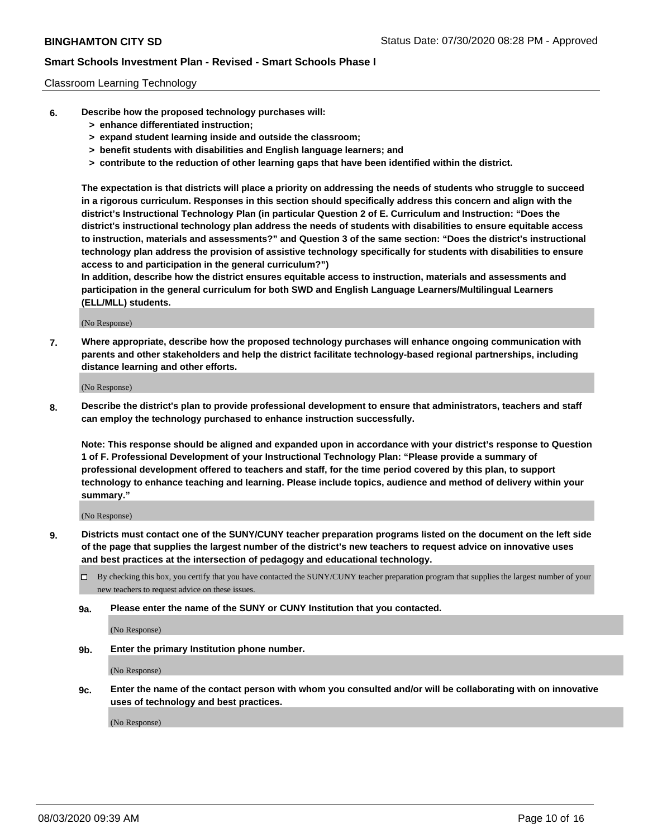### Classroom Learning Technology

- **6. Describe how the proposed technology purchases will:**
	- **> enhance differentiated instruction;**
	- **> expand student learning inside and outside the classroom;**
	- **> benefit students with disabilities and English language learners; and**
	- **> contribute to the reduction of other learning gaps that have been identified within the district.**

**The expectation is that districts will place a priority on addressing the needs of students who struggle to succeed in a rigorous curriculum. Responses in this section should specifically address this concern and align with the district's Instructional Technology Plan (in particular Question 2 of E. Curriculum and Instruction: "Does the district's instructional technology plan address the needs of students with disabilities to ensure equitable access to instruction, materials and assessments?" and Question 3 of the same section: "Does the district's instructional technology plan address the provision of assistive technology specifically for students with disabilities to ensure access to and participation in the general curriculum?")**

**In addition, describe how the district ensures equitable access to instruction, materials and assessments and participation in the general curriculum for both SWD and English Language Learners/Multilingual Learners (ELL/MLL) students.**

(No Response)

**7. Where appropriate, describe how the proposed technology purchases will enhance ongoing communication with parents and other stakeholders and help the district facilitate technology-based regional partnerships, including distance learning and other efforts.**

(No Response)

**8. Describe the district's plan to provide professional development to ensure that administrators, teachers and staff can employ the technology purchased to enhance instruction successfully.**

**Note: This response should be aligned and expanded upon in accordance with your district's response to Question 1 of F. Professional Development of your Instructional Technology Plan: "Please provide a summary of professional development offered to teachers and staff, for the time period covered by this plan, to support technology to enhance teaching and learning. Please include topics, audience and method of delivery within your summary."**

(No Response)

- **9. Districts must contact one of the SUNY/CUNY teacher preparation programs listed on the document on the left side of the page that supplies the largest number of the district's new teachers to request advice on innovative uses and best practices at the intersection of pedagogy and educational technology.**
	- By checking this box, you certify that you have contacted the SUNY/CUNY teacher preparation program that supplies the largest number of your new teachers to request advice on these issues.
	- **9a. Please enter the name of the SUNY or CUNY Institution that you contacted.**

(No Response)

**9b. Enter the primary Institution phone number.**

(No Response)

**9c. Enter the name of the contact person with whom you consulted and/or will be collaborating with on innovative uses of technology and best practices.**

(No Response)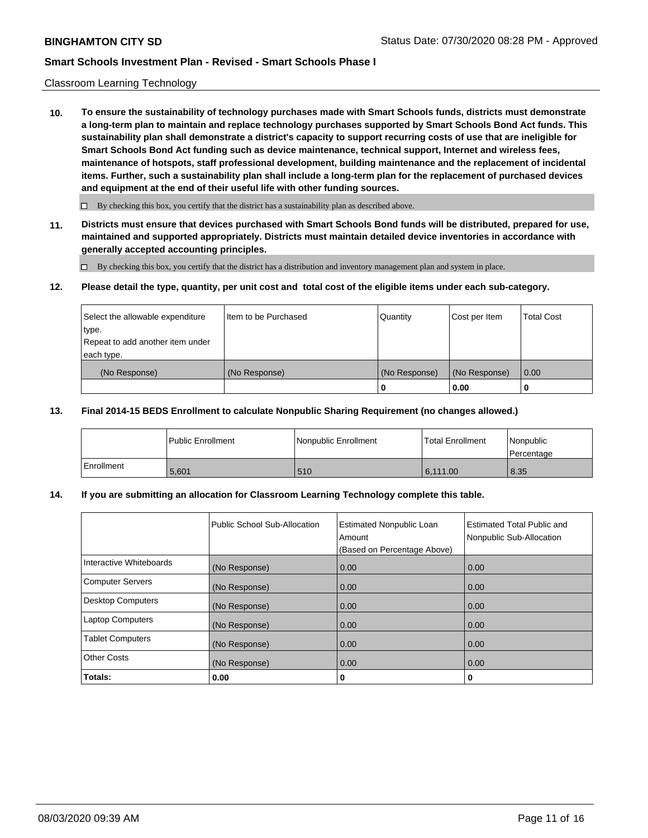### Classroom Learning Technology

**10. To ensure the sustainability of technology purchases made with Smart Schools funds, districts must demonstrate a long-term plan to maintain and replace technology purchases supported by Smart Schools Bond Act funds. This sustainability plan shall demonstrate a district's capacity to support recurring costs of use that are ineligible for Smart Schools Bond Act funding such as device maintenance, technical support, Internet and wireless fees, maintenance of hotspots, staff professional development, building maintenance and the replacement of incidental items. Further, such a sustainability plan shall include a long-term plan for the replacement of purchased devices and equipment at the end of their useful life with other funding sources.**

 $\Box$  By checking this box, you certify that the district has a sustainability plan as described above.

**11. Districts must ensure that devices purchased with Smart Schools Bond funds will be distributed, prepared for use, maintained and supported appropriately. Districts must maintain detailed device inventories in accordance with generally accepted accounting principles.**

By checking this box, you certify that the district has a distribution and inventory management plan and system in place.

#### **12. Please detail the type, quantity, per unit cost and total cost of the eligible items under each sub-category.**

| Select the allowable expenditure<br>type.<br>Repeat to add another item under | Item to be Purchased | Quantity      | Cost per Item | <b>Total Cost</b> |
|-------------------------------------------------------------------------------|----------------------|---------------|---------------|-------------------|
| each type.<br>(No Response)                                                   | (No Response)        | (No Response) | (No Response) | 0.00              |
|                                                                               |                      | 0             | 0.00          |                   |

### **13. Final 2014-15 BEDS Enrollment to calculate Nonpublic Sharing Requirement (no changes allowed.)**

|            | l Public Enrollment | <b>INonpublic Enrollment</b> | <b>Total Enrollment</b> | Nonpublic<br>l Percentage |
|------------|---------------------|------------------------------|-------------------------|---------------------------|
| Enrollment | 5.601               | 510                          | 6.111.00                | 8.35                      |

### **14. If you are submitting an allocation for Classroom Learning Technology complete this table.**

|                         | Public School Sub-Allocation | <b>Estimated Nonpublic Loan</b><br>Amount<br>(Based on Percentage Above) | Estimated Total Public and<br>Nonpublic Sub-Allocation |
|-------------------------|------------------------------|--------------------------------------------------------------------------|--------------------------------------------------------|
| Interactive Whiteboards | (No Response)                | 0.00                                                                     | 0.00                                                   |
| Computer Servers        | (No Response)                | 0.00                                                                     | 0.00                                                   |
| Desktop Computers       | (No Response)                | 0.00                                                                     | 0.00                                                   |
| <b>Laptop Computers</b> | (No Response)                | 0.00                                                                     | 0.00                                                   |
| <b>Tablet Computers</b> | (No Response)                | 0.00                                                                     | 0.00                                                   |
| Other Costs             | (No Response)                | 0.00                                                                     | 0.00                                                   |
| Totals:                 | 0.00                         | 0                                                                        | 0                                                      |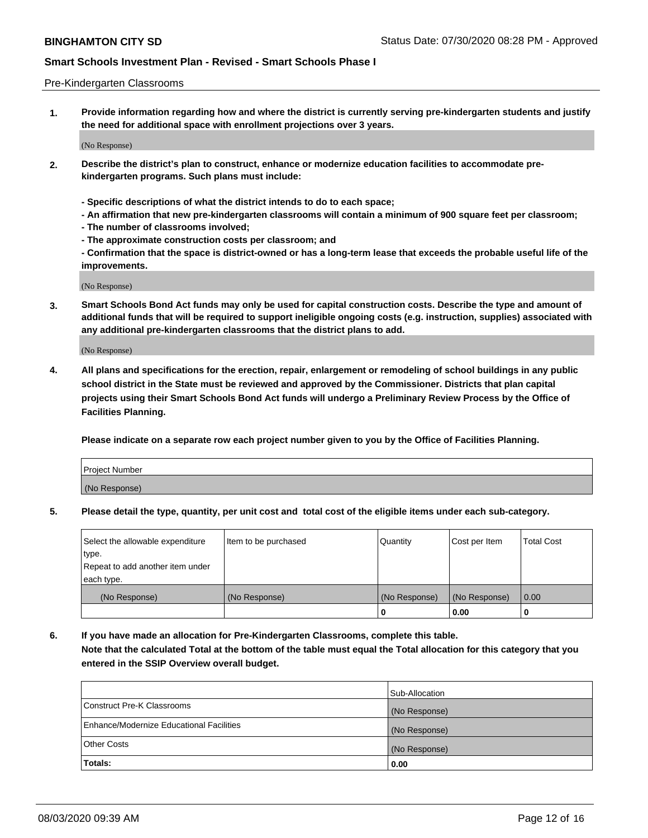### Pre-Kindergarten Classrooms

**1. Provide information regarding how and where the district is currently serving pre-kindergarten students and justify the need for additional space with enrollment projections over 3 years.**

(No Response)

- **2. Describe the district's plan to construct, enhance or modernize education facilities to accommodate prekindergarten programs. Such plans must include:**
	- **Specific descriptions of what the district intends to do to each space;**
	- **An affirmation that new pre-kindergarten classrooms will contain a minimum of 900 square feet per classroom;**
	- **The number of classrooms involved;**
	- **The approximate construction costs per classroom; and**
	- **Confirmation that the space is district-owned or has a long-term lease that exceeds the probable useful life of the improvements.**

(No Response)

**3. Smart Schools Bond Act funds may only be used for capital construction costs. Describe the type and amount of additional funds that will be required to support ineligible ongoing costs (e.g. instruction, supplies) associated with any additional pre-kindergarten classrooms that the district plans to add.**

(No Response)

**4. All plans and specifications for the erection, repair, enlargement or remodeling of school buildings in any public school district in the State must be reviewed and approved by the Commissioner. Districts that plan capital projects using their Smart Schools Bond Act funds will undergo a Preliminary Review Process by the Office of Facilities Planning.**

**Please indicate on a separate row each project number given to you by the Office of Facilities Planning.**

| Project Number |  |
|----------------|--|
| (No Response)  |  |
|                |  |

**5. Please detail the type, quantity, per unit cost and total cost of the eligible items under each sub-category.**

| Select the allowable expenditure | Item to be purchased | Quantity      | Cost per Item | <b>Total Cost</b> |
|----------------------------------|----------------------|---------------|---------------|-------------------|
| type.                            |                      |               |               |                   |
| Repeat to add another item under |                      |               |               |                   |
| each type.                       |                      |               |               |                   |
| (No Response)                    | (No Response)        | (No Response) | (No Response) | 0.00              |
|                                  |                      | U             | 0.00          |                   |

**6. If you have made an allocation for Pre-Kindergarten Classrooms, complete this table. Note that the calculated Total at the bottom of the table must equal the Total allocation for this category that you entered in the SSIP Overview overall budget.**

|                                          | Sub-Allocation |
|------------------------------------------|----------------|
| Construct Pre-K Classrooms               | (No Response)  |
| Enhance/Modernize Educational Facilities | (No Response)  |
| <b>Other Costs</b>                       | (No Response)  |
| Totals:                                  | 0.00           |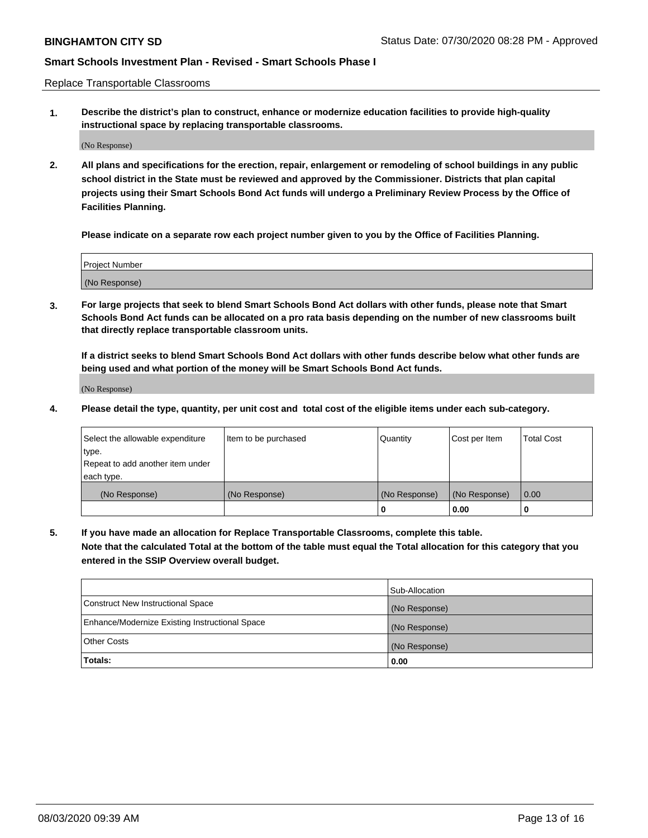Replace Transportable Classrooms

**1. Describe the district's plan to construct, enhance or modernize education facilities to provide high-quality instructional space by replacing transportable classrooms.**

(No Response)

**2. All plans and specifications for the erection, repair, enlargement or remodeling of school buildings in any public school district in the State must be reviewed and approved by the Commissioner. Districts that plan capital projects using their Smart Schools Bond Act funds will undergo a Preliminary Review Process by the Office of Facilities Planning.**

**Please indicate on a separate row each project number given to you by the Office of Facilities Planning.**

| Project Number |  |
|----------------|--|
|                |  |
|                |  |
|                |  |
|                |  |
| (No Response)  |  |
|                |  |
|                |  |
|                |  |

**3. For large projects that seek to blend Smart Schools Bond Act dollars with other funds, please note that Smart Schools Bond Act funds can be allocated on a pro rata basis depending on the number of new classrooms built that directly replace transportable classroom units.**

**If a district seeks to blend Smart Schools Bond Act dollars with other funds describe below what other funds are being used and what portion of the money will be Smart Schools Bond Act funds.**

(No Response)

**4. Please detail the type, quantity, per unit cost and total cost of the eligible items under each sub-category.**

| Select the allowable expenditure | Item to be purchased | Quantity      | Cost per Item | Total Cost |
|----------------------------------|----------------------|---------------|---------------|------------|
| ∣type.                           |                      |               |               |            |
| Repeat to add another item under |                      |               |               |            |
| each type.                       |                      |               |               |            |
| (No Response)                    | (No Response)        | (No Response) | (No Response) | 0.00       |
|                                  |                      | u             | 0.00          |            |

**5. If you have made an allocation for Replace Transportable Classrooms, complete this table. Note that the calculated Total at the bottom of the table must equal the Total allocation for this category that you entered in the SSIP Overview overall budget.**

|                                                | Sub-Allocation |
|------------------------------------------------|----------------|
| Construct New Instructional Space              | (No Response)  |
| Enhance/Modernize Existing Instructional Space | (No Response)  |
| Other Costs                                    | (No Response)  |
| Totals:                                        | 0.00           |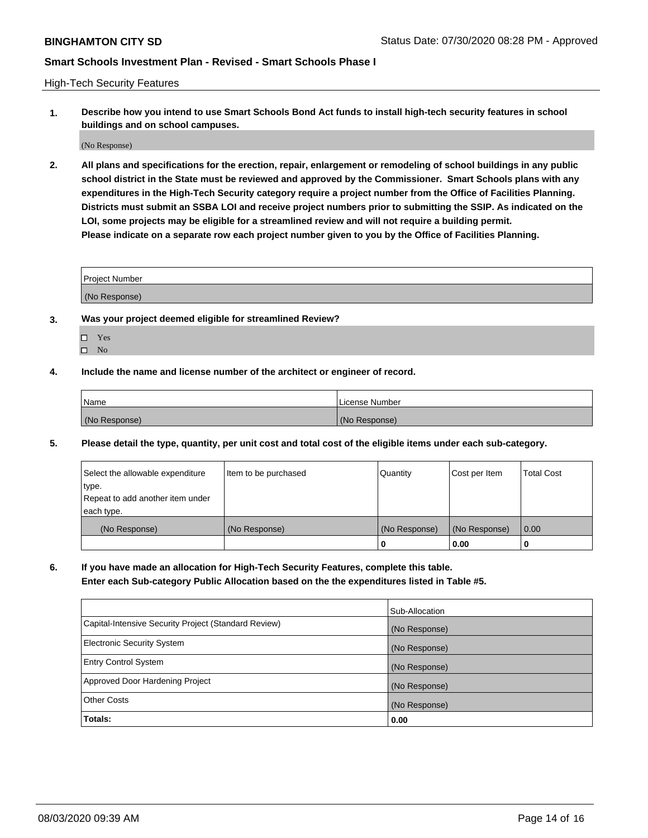High-Tech Security Features

**1. Describe how you intend to use Smart Schools Bond Act funds to install high-tech security features in school buildings and on school campuses.**

(No Response)

**2. All plans and specifications for the erection, repair, enlargement or remodeling of school buildings in any public school district in the State must be reviewed and approved by the Commissioner. Smart Schools plans with any expenditures in the High-Tech Security category require a project number from the Office of Facilities Planning. Districts must submit an SSBA LOI and receive project numbers prior to submitting the SSIP. As indicated on the LOI, some projects may be eligible for a streamlined review and will not require a building permit. Please indicate on a separate row each project number given to you by the Office of Facilities Planning.**

| <b>Project Number</b> |  |
|-----------------------|--|
|                       |  |
| (No Response)         |  |

- **3. Was your project deemed eligible for streamlined Review?**
	- Yes
	- $\hfill \square$  No
- **4. Include the name and license number of the architect or engineer of record.**

| <b>Name</b>   | License Number |
|---------------|----------------|
| (No Response) | (No Response)  |

**5. Please detail the type, quantity, per unit cost and total cost of the eligible items under each sub-category.**

| Select the allowable expenditure | Item to be purchased | Quantity      | Cost per Item | Total Cost |
|----------------------------------|----------------------|---------------|---------------|------------|
| 'type.                           |                      |               |               |            |
| Repeat to add another item under |                      |               |               |            |
| each type.                       |                      |               |               |            |
| (No Response)                    | (No Response)        | (No Response) | (No Response) | 0.00       |
|                                  |                      | u             | 0.00          |            |

**6. If you have made an allocation for High-Tech Security Features, complete this table.**

**Enter each Sub-category Public Allocation based on the the expenditures listed in Table #5.**

|                                                      | Sub-Allocation |
|------------------------------------------------------|----------------|
| Capital-Intensive Security Project (Standard Review) | (No Response)  |
| <b>Electronic Security System</b>                    | (No Response)  |
| <b>Entry Control System</b>                          | (No Response)  |
| Approved Door Hardening Project                      | (No Response)  |
| <b>Other Costs</b>                                   | (No Response)  |
| Totals:                                              | 0.00           |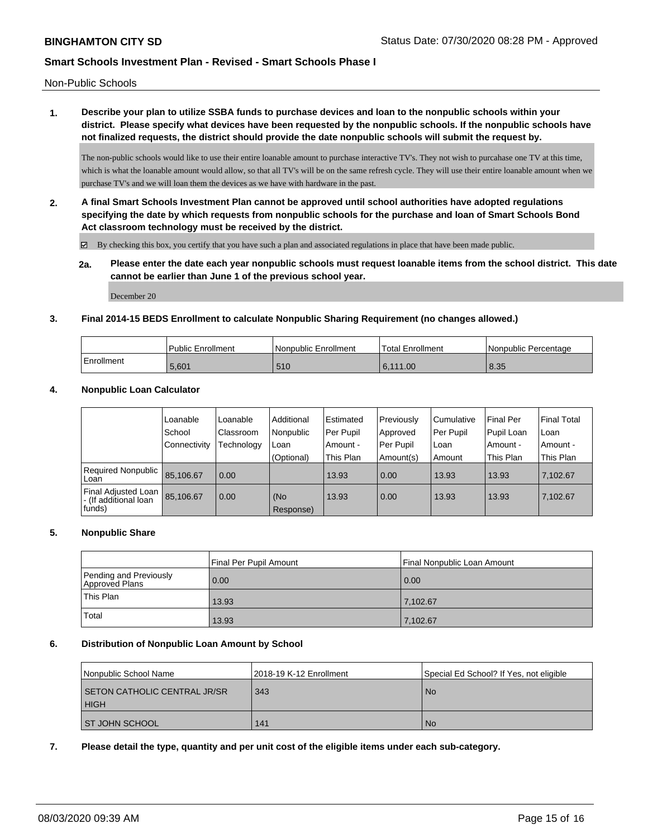Non-Public Schools

**1. Describe your plan to utilize SSBA funds to purchase devices and loan to the nonpublic schools within your district. Please specify what devices have been requested by the nonpublic schools. If the nonpublic schools have not finalized requests, the district should provide the date nonpublic schools will submit the request by.**

The non-public schools would like to use their entire loanable amount to purchase interactive TV's. They not wish to purcahase one TV at this time, which is what the loanable amount would allow, so that all TV's will be on the same refresh cycle. They will use their entire loanable amount when we purchase TV's and we will loan them the devices as we have with hardware in the past.

**2. A final Smart Schools Investment Plan cannot be approved until school authorities have adopted regulations specifying the date by which requests from nonpublic schools for the purchase and loan of Smart Schools Bond Act classroom technology must be received by the district.**

By checking this box, you certify that you have such a plan and associated regulations in place that have been made public.

**2a. Please enter the date each year nonpublic schools must request loanable items from the school district. This date cannot be earlier than June 1 of the previous school year.**

December 20

### **3. Final 2014-15 BEDS Enrollment to calculate Nonpublic Sharing Requirement (no changes allowed.)**

|            | Public Enrollment | Nonpublic Enrollment | Total Enrollment | INonpublic Percentage |
|------------|-------------------|----------------------|------------------|-----------------------|
| Enrollment | 5.601             | 510                  | 6.111.00         | 8.35                  |

### **4. Nonpublic Loan Calculator**

|                                                         | Loanable     | Loanable   | Additional       | Estimated | Previously | Cumulative | <b>Final Per</b> | l Final Total |
|---------------------------------------------------------|--------------|------------|------------------|-----------|------------|------------|------------------|---------------|
|                                                         | School       | Classroom  | Nonpublic        | Per Pupil | Approved   | Per Pupil  | Pupil Loan       | l Loan        |
|                                                         | Connectivity | Technology | Loan             | Amount -  | Per Pupil  | Loan       | Amount -         | l Amount -    |
|                                                         |              |            | (Optional)       | This Plan | Amount(s)  | Amount     | This Plan        | This Plan     |
| Required Nonpublic<br>Loan                              | 85.106.67    | 0.00       |                  | 13.93     | 0.00       | 13.93      | 13.93            | 7,102.67      |
| Final Adjusted Loan<br>I- (If additional loan<br>funds) | 85.106.67    | 0.00       | (No<br>Response) | 13.93     | 0.00       | 13.93      | 13.93            | 7.102.67      |

### **5. Nonpublic Share**

|                                          | Final Per Pupil Amount | Final Nonpublic Loan Amount |
|------------------------------------------|------------------------|-----------------------------|
| Pending and Previously<br>Approved Plans | 0.00                   | 0.00                        |
| This Plan                                | 13.93                  | 7,102.67                    |
| Total                                    | 13.93                  | 7,102.67                    |

### **6. Distribution of Nonpublic Loan Amount by School**

| Nonpublic School Name                              | 12018-19 K-12 Enrollment | Special Ed School? If Yes, not eligible |
|----------------------------------------------------|--------------------------|-----------------------------------------|
| <b>SETON CATHOLIC CENTRAL JR/SR</b><br><b>HIGH</b> | 343                      | l No                                    |
| <b>ST JOHN SCHOOL</b>                              | 141                      | l No                                    |

### **7. Please detail the type, quantity and per unit cost of the eligible items under each sub-category.**